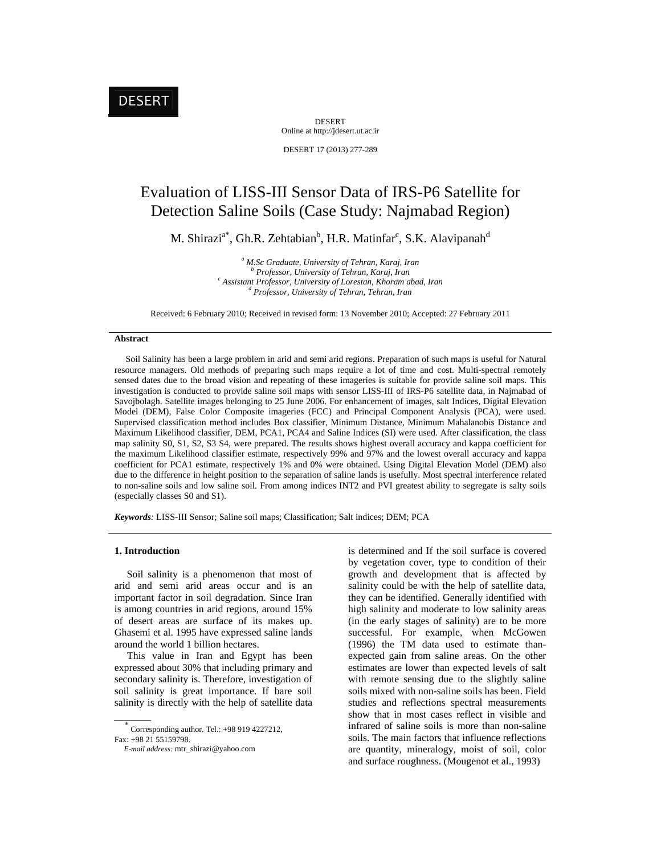DESERT Online at http://jdesert.ut.ac.ir

DESERT 17 (2013) 277-289

# Evaluation of LISS-III Sensor Data of IRS-P6 Satellite for Detection Saline Soils (Case Study: Najmabad Region)

M. Shirazi<sup>a\*</sup>, Gh.R. Zehtabian<sup>b</sup>, H.R. Matinfar<sup>c</sup>, S.K. Alavipanah<sup>d</sup>

<sup>*a*</sup> *M.Sc Graduate, University of Tehran, Karaj, Iran b Dusfasson, University of Tehran, Karaj, Iran Professor, University of Tehran, Karaj, Iran <sup>c</sup>* <sup>c</sup> Assistant Professor, University of Lorestan, Khoram abad, Iran  *Professor, University of Tehran, Tehran, Iran*

Received: 6 February 2010; Received in revised form: 13 November 2010; Accepted: 27 February 2011

#### **Abstract**

 Soil Salinity has been a large problem in arid and semi arid regions. Preparation of such maps is useful for Natural resource managers. Old methods of preparing such maps require a lot of time and cost. Multi-spectral remotely sensed dates due to the broad vision and repeating of these imageries is suitable for provide saline soil maps. This investigation is conducted to provide saline soil maps with sensor LISS-III of IRS-P6 satellite data, in Najmabad of Savojbolagh. Satellite images belonging to 25 June 2006. For enhancement of images, salt Indices, Digital Elevation Model (DEM), False Color Composite imageries (FCC) and Principal Component Analysis (PCA), were used. Supervised classification method includes Box classifier, Minimum Distance, Minimum Mahalanobis Distance and Maximum Likelihood classifier, DEM, PCA1, PCA4 and Saline Indices (SI) were used. After classification, the class map salinity S0, S1, S2, S3 S4, were prepared. The results shows highest overall accuracy and kappa coefficient for the maximum Likelihood classifier estimate, respectively 99% and 97% and the lowest overall accuracy and kappa coefficient for PCA1 estimate, respectively 1% and 0% were obtained. Using Digital Elevation Model (DEM) also due to the difference in height position to the separation of saline lands is usefully. Most spectral interference related to non-saline soils and low saline soil. From among indices INT2 and PVI greatest ability to segregate is salty soils (especially classes S0 and S1).

*Keywords:* LISS-III Sensor; Saline soil maps; Classification; Salt indices; DEM; PCA

## **1. Introduction**

 Soil salinity is a phenomenon that most of arid and semi arid areas occur and is an important factor in soil degradation. Since Iran is among countries in arid regions, around 15% of desert areas are surface of its makes up. Ghasemi et al. 1995 have expressed saline lands around the world 1 billion hectares.

 This value in Iran and Egypt has been expressed about 30% that including primary and secondary salinity is. Therefore, investigation of soil salinity is great importance. If bare soil salinity is directly with the help of satellite data is determined and If the soil surface is covered by vegetation cover, type to condition of their growth and development that is affected by salinity could be with the help of satellite data, they can be identified. Generally identified with high salinity and moderate to low salinity areas (in the early stages of salinity) are to be more successful. For example, when McGowen (1996) the TM data used to estimate thanexpected gain from saline areas. On the other estimates are lower than expected levels of salt with remote sensing due to the slightly saline soils mixed with non-saline soils has been. Field studies and reflections spectral measurements show that in most cases reflect in visible and infrared of saline soils is more than non-saline soils. The main factors that influence reflections are quantity, mineralogy, moist of soil, color and surface roughness. (Mougenot et al., 1993)

 $\overline{\phantom{a}}$  Corresponding author. Tel.: +98 919 4227212, Fax: +98 21 55159798.

*E-mail address:* mtr\_shirazi@yahoo.com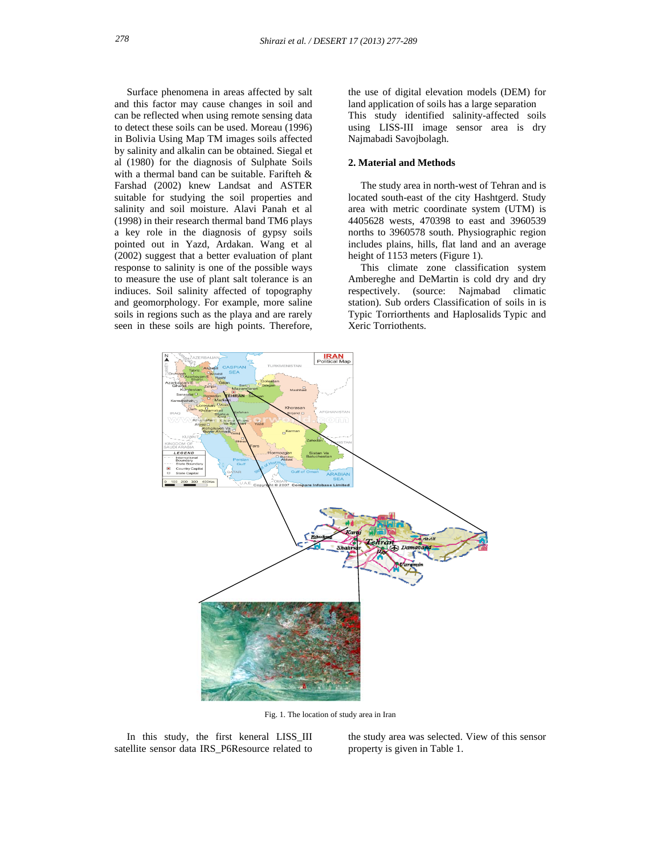Surface phenomena in areas affected by salt and this factor may cause changes in soil and can be reflected when using remote sensing data to detect these soils can be used. Moreau (1996) in Bolivia Using Map TM images soils affected by salinity and alkalin can be obtained. Siegal et al (1980) for the diagnosis of Sulphate Soils with a thermal band can be suitable. Farifteh & Farshad (2002) knew Landsat and ASTER suitable for studying the soil properties and salinity and soil moisture. Alavi Panah et al (1998) in their research thermal band TM6 plays a key role in the diagnosis of gypsy soils pointed out in Yazd, Ardakan. Wang et al (2002) suggest that a better evaluation of plant response to salinity is one of the possible ways to measure the use of plant salt tolerance is an indiuces. Soil salinity affected of topography and geomorphology. For example, more saline soils in regions such as the playa and are rarely seen in these soils are high points. Therefore, the use of digital elevation models (DEM) for land application of soils has a large separation This study identified salinity-affected soils using LISS-III image sensor area is dry Najmabadi Savojbolagh.

### **2. Material and Methods**

 The study area in north-west of Tehran and is located south-east of the city Hashtgerd. Study area with metric coordinate system (UTM) is 4405628 wests, 470398 to east and 3960539 norths to 3960578 south. Physiographic region includes plains, hills, flat land and an average height of 1153 meters (Figure 1).

 This climate zone classification system Ambereghe and DeMartin is cold dry and dry respectively. (source: Najmabad climatic station). Sub orders Classification of soils in is Typic Torriorthents and Haplosalids Typic and Xeric Torriothents.



Fig. 1. The location of study area in Iran

 In this study, the first keneral LISS\_III satellite sensor data IRS\_P6Resource related to

the study area was selected. View of this sensor property is given in Table 1.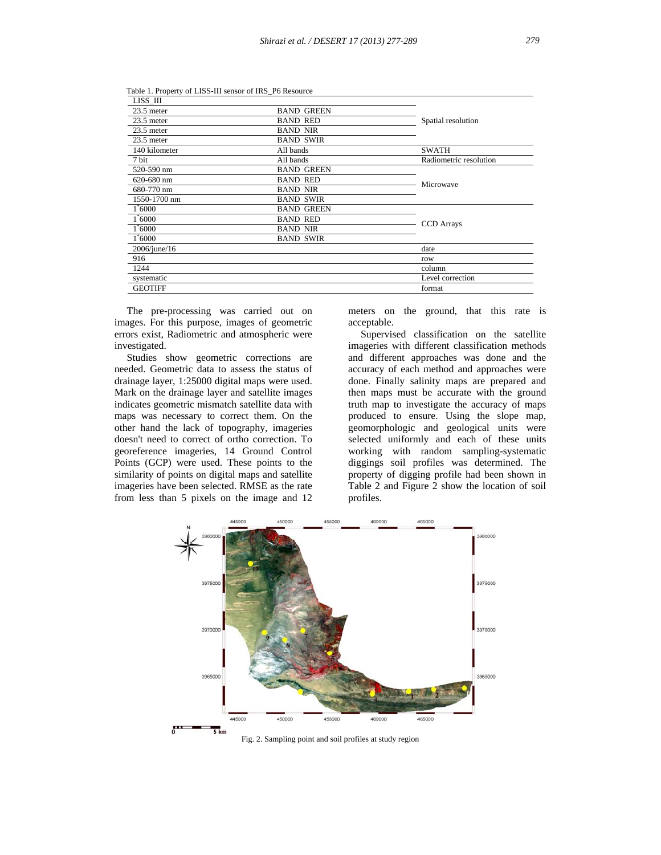| LISS III                        |                   |                        |  |  |
|---------------------------------|-------------------|------------------------|--|--|
| $23.5$ meter                    | <b>BAND GREEN</b> |                        |  |  |
| $23.5$ meter<br><b>BAND RED</b> |                   | Spatial resolution     |  |  |
| $23.5$ meter                    | <b>BAND NIR</b>   |                        |  |  |
| $23.5$ meter                    | <b>BAND SWIR</b>  |                        |  |  |
| 140 kilometer                   | All bands         | <b>SWATH</b>           |  |  |
| 7 bit                           | All bands         | Radiometric resolution |  |  |
| 520-590 nm                      | <b>BAND GREEN</b> |                        |  |  |
| 620-680 nm                      | <b>BAND RED</b>   | Microwave              |  |  |
| 680-770 nm                      | <b>BAND NIR</b>   |                        |  |  |
| 1550-1700 nm                    | <b>BAND SWIR</b>  |                        |  |  |
| 1 6000                          | <b>BAND GREEN</b> |                        |  |  |
| $1*6000$                        | <b>BAND RED</b>   |                        |  |  |
| $1*6000$                        | <b>BAND NIR</b>   | <b>CCD</b> Arrays      |  |  |
| 1 6000                          | <b>BAND SWIR</b>  |                        |  |  |
| $2006$ /june/16                 |                   | date                   |  |  |
| 916                             |                   | row                    |  |  |
| 1244                            |                   | column                 |  |  |
| systematic                      |                   | Level correction       |  |  |
| <b>GEOTIFF</b>                  |                   | format                 |  |  |
|                                 |                   |                        |  |  |

Table 1. Property of LISS-III sensor of IRS\_P6 Resource

 The pre-processing was carried out on images. For this purpose, images of geometric errors exist, Radiometric and atmospheric were investigated.

 Studies show geometric corrections are needed. Geometric data to assess the status of drainage layer, 1:25000 digital maps were used. Mark on the drainage layer and satellite images indicates geometric mismatch satellite data with maps was necessary to correct them. On the other hand the lack of topography, imageries doesn't need to correct of ortho correction. To georeference imageries, 14 Ground Control Points (GCP) were used. These points to the similarity of points on digital maps and satellite imageries have been selected. RMSE as the rate from less than 5 pixels on the image and 12

meters on the ground, that this rate is acceptable.

 Supervised classification on the satellite imageries with different classification methods and different approaches was done and the accuracy of each method and approaches were done. Finally salinity maps are prepared and then maps must be accurate with the ground truth map to investigate the accuracy of maps produced to ensure. Using the slope map, geomorphologic and geological units were selected uniformly and each of these units working with random sampling-systematic diggings soil profiles was determined. The property of digging profile had been shown in Table 2 and Figure 2 show the location of soil profiles.



Fig. 2. Sampling point and soil profiles at study region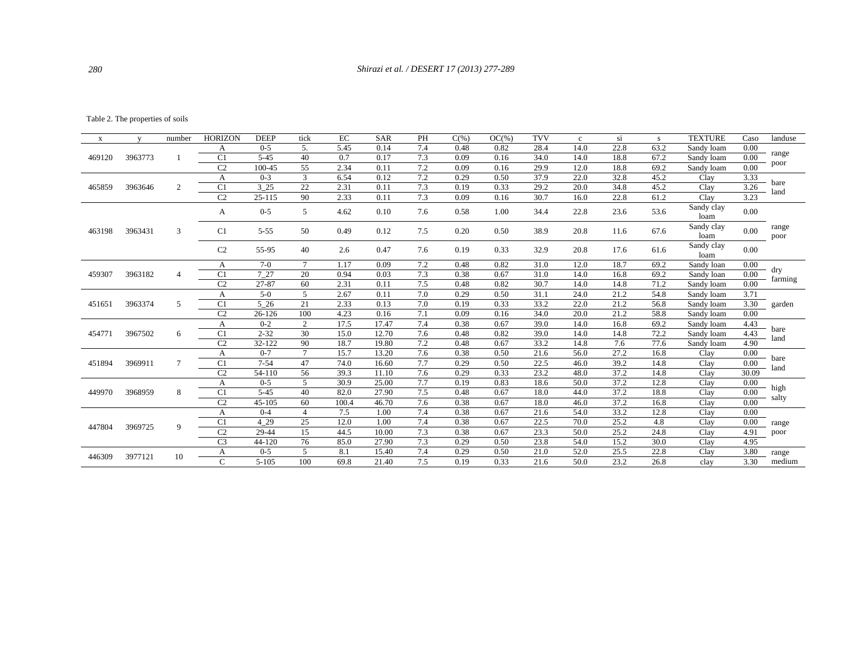Table 2. The properties of soils

| X      |         | number | <b>HORIZON</b> | <b>DEEP</b> | tick           | EC    | <b>SAR</b> | PH  | $C(\% )$ | $OC(\% )$ | <b>TVV</b> | $\mathbf c$ | si   | S    | <b>TEXTURE</b>     | Caso  | landuse       |
|--------|---------|--------|----------------|-------------|----------------|-------|------------|-----|----------|-----------|------------|-------------|------|------|--------------------|-------|---------------|
|        |         |        | А              | $0 - 5$     | 5.             | 5.45  | 0.14       | 7.4 | 0.48     | 0.82      | 28.4       | 14.0        | 22.8 | 63.2 | Sandy loam         | 0.00  |               |
| 469120 | 3963773 |        | C <sub>1</sub> | $5 - 45$    | 40             | 0.7   | 0.17       | 7.3 | 0.09     | 0.16      | 34.0       | 14.0        | 18.8 | 67.2 | Sandy loam         | 0.00  | range         |
|        |         |        | C <sub>2</sub> | 100-45      | 55             | 2.34  | 0.11       | 7.2 | 0.09     | 0.16      | 29.9       | 12.0        | 18.8 | 69.2 | Sandy loam         | 0.00  | poor          |
|        |         |        | А              | $0 - 3$     | 3              | 6.54  | 0.12       | 7.2 | 0.29     | 0.50      | 37.9       | 22.0        | 32.8 | 45.2 | Clay               | 3.33  | bare          |
| 465859 | 3963646 | 2      | C <sub>1</sub> | 3 25        | 22             | 2.31  | 0.11       | 7.3 | 0.19     | 0.33      | 29.2       | 20.0        | 34.8 | 45.2 | Clay               | 3.26  | land          |
|        |         |        | C <sub>2</sub> | $25 - 115$  | 90             | 2.33  | 0.11       | 7.3 | 0.09     | 0.16      | 30.7       | 16.0        | 22.8 | 61.2 | Clay               | 3.23  |               |
|        |         |        | А              | $0 - 5$     | 5              | 4.62  | 0.10       | 7.6 | 0.58     | 1.00      | 34.4       | 22.8        | 23.6 | 53.6 | Sandy clay<br>loam | 0.00  |               |
| 463198 | 3963431 | 3      | C <sub>1</sub> | $5 - 55$    | 50             | 0.49  | 0.12       | 7.5 | 0.20     | 0.50      | 38.9       | 20.8        | 11.6 | 67.6 | Sandy clay<br>loam | 0.00  | range<br>poor |
|        |         |        | C <sub>2</sub> | 55-95       | 40             | 2.6   | 0.47       | 7.6 | 0.19     | 0.33      | 32.9       | 20.8        | 17.6 | 61.6 | Sandy clay<br>loam | 0.00  |               |
|        |         |        | А              | $7-0$       | $\tau$         | 1.17  | 0.09       | 7.2 | 0.48     | 0.82      | 31.0       | 12.0        | 18.7 | 69.2 | Sandy loan         | 0.00  | dry           |
| 459307 | 3963182 | 4      | C1             | 7 27        | 20             | 0.94  | 0.03       | 7.3 | 0.38     | 0.67      | 31.0       | 14.0        | 16.8 | 69.2 | Sandy loan         | 0.00  | farming       |
|        |         |        | C <sub>2</sub> | $27 - 87$   | 60             | 2.31  | 0.11       | 7.5 | 0.48     | 0.82      | 30.7       | 14.0        | 14.8 | 71.2 | Sandy loam         | 0.00  |               |
|        |         |        | А              | $5-0$       | 5              | 2.67  | 0.11       | 7.0 | 0.29     | 0.50      | 31.1       | 24.0        | 21.2 | 54.8 | Sandy loam         | 3.71  |               |
| 451651 | 3963374 | 5      | C1             | 5 2 6       | 21             | 2.33  | 0.13       | 7.0 | 0.19     | 0.33      | 33.2       | 22.0        | 21.2 | 56.8 | Sandy loam         | 3.30  | garden        |
|        |         |        | C <sub>2</sub> | 26-126      | 100            | 4.23  | 0.16       | 7.1 | 0.09     | 0.16      | 34.0       | 20.0        | 21.2 | 58.8 | Sandy loam         | 0.00  |               |
|        |         |        | А              | $0 - 2$     | $\overline{2}$ | 17.5  | 17.47      | 7.4 | 0.38     | 0.67      | 39.0       | 14.0        | 16.8 | 69.2 | Sandy loam         | 4.43  | bare          |
| 454771 | 3967502 | 6      | C1             | $2 - 32$    | 30             | 15.0  | 12.70      | 7.6 | 0.48     | 0.82      | 39.0       | 14.0        | 14.8 | 72.2 | Sandy loam         | 4.43  | land          |
|        |         |        | C <sub>2</sub> | 32-122      | 90             | 18.7  | 19.80      | 7.2 | 0.48     | 0.67      | 33.2       | 14.8        | 7.6  | 77.6 | Sandy loam         | 4.90  |               |
|        |         |        | А              | $0 - 7$     | $\tau$         | 15.7  | 13.20      | 7.6 | 0.38     | 0.50      | 21.6       | 56.0        | 27.2 | 16.8 | Clay               | 0.00  | bare          |
| 451894 | 3969911 | $\tau$ | C1             | $7 - 54$    | 47             | 74.0  | 16.60      | 7.7 | 0.29     | 0.50      | 22.5       | 46.0        | 39.2 | 14.8 | Clay               | 0.00  | land          |
|        |         |        | C <sub>2</sub> | 54-110      | 56             | 39.3  | 11.10      | 7.6 | 0.29     | 0.33      | 23.2       | 48.0        | 37.2 | 14.8 | Clay               | 30.09 |               |
|        |         |        | А              | $0 - 5$     | 5              | 30.9  | 25.00      | 7.7 | 0.19     | 0.83      | 18.6       | 50.0        | 37.2 | 12.8 | Clay               | 0.00  | high          |
| 449970 | 3968959 | 8      | C1             | $5 - 45$    | 40             | 82.0  | 27.90      | 7.5 | 0.48     | 0.67      | 18.0       | 44.0        | 37.2 | 18.8 | Clay               | 0.00  | salty         |
|        |         |        | C <sub>2</sub> | 45-105      | 60             | 100.4 | 46.70      | 7.6 | 0.38     | 0.67      | 18.0       | 46.0        | 37.2 | 16.8 | Clay               | 0.00  |               |
|        |         |        | Α              | $0 - 4$     |                | 7.5   | 1.00       | 7.4 | 0.38     | 0.67      | 21.6       | 54.0        | 33.2 | 12.8 | Clay               | 0.00  |               |
| 447804 | 3969725 | 9      | C1             | 4 2 9       | 25             | 12.0  | 1.00       | 7.4 | 0.38     | 0.67      | 22.5       | 70.0        | 25.2 | 4.8  | Clay               | 0.00  | range         |
|        |         |        | C <sub>2</sub> | 29-44       | 15             | 44.5  | 10.00      | 7.3 | 0.38     | 0.67      | 23.3       | 50.0        | 25.2 | 24.8 | Clay               | 4.91  | poor          |
|        |         |        | C <sub>3</sub> | 44-120      | 76             | 85.0  | 27.90      | 7.3 | 0.29     | 0.50      | 23.8       | 54.0        | 15.2 | 30.0 | Clay               | 4.95  |               |
| 446309 | 3977121 | 10     | A              | $0 - 5$     | 5              | 8.1   | 15.40      | 7.4 | 0.29     | 0.50      | 21.0       | 52.0        | 25.5 | 22.8 | Clay               | 3.80  | range         |
|        |         |        | $\mathcal{C}$  | $5 - 105$   | 100            | 69.8  | 21.40      | 7.5 | 0.19     | 0.33      | 21.6       | 50.0        | 23.2 | 26.8 | clay               | 3.30  | medium        |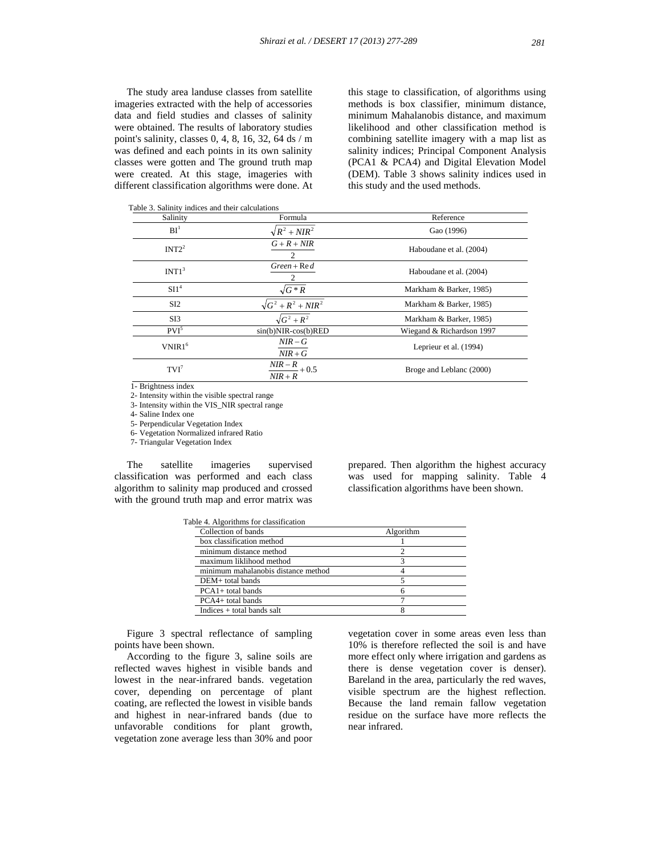The study area landuse classes from satellite imageries extracted with the help of accessories data and field studies and classes of salinity were obtained. The results of laboratory studies point's salinity, classes 0, 4, 8, 16, 32, 64 ds / m was defined and each points in its own salinity classes were gotten and The ground truth map were created. At this stage, imageries with different classification algorithms were done. At this stage to classification, of algorithms using methods is box classifier, minimum distance, minimum Mahalanobis distance, and maximum likelihood and other classification method is combining satellite imagery with a map list as salinity indices; Principal Component Analysis (PCA1 & PCA4) and Digital Elevation Model (DEM). Table 3 shows salinity indices used in this study and the used methods.

| Salinity           | Formula                                                      | Reference                 |
|--------------------|--------------------------------------------------------------|---------------------------|
| BI <sup>1</sup>    | $\sqrt{R^2 + NIR^2}$                                         | Gao (1996)                |
| INT2 <sup>2</sup>  | $G + R + NIR$<br>2                                           | Haboudane et al. (2004)   |
| INT1 <sup>3</sup>  | $Green + Red$<br>2                                           | Haboudane et al. (2004)   |
| SI1 <sup>4</sup>   | $\sqrt{G} * R$                                               | Markham & Barker, 1985)   |
| SI <sub>2</sub>    | $\sqrt{G^2+R^2+NIR^2}$                                       | Markham & Barker, 1985)   |
| SI <sub>3</sub>    | $\sqrt{G^2+R^2}$                                             | Markham & Barker, 1985)   |
| $PVI^5$            | $sin(b)NIR-cos(b)RED$                                        | Wiegand & Richardson 1997 |
| VNIR1 <sup>6</sup> | $NIR-G$<br>$NIR + G$                                         | Leprieur et al. (1994)    |
| $TVI^7$            | $\frac{\overline{NIR} - R}{\overline{N} + 0.5}$<br>$NIR + R$ | Broge and Leblanc (2000)  |

1- Brightness index

2- Intensity within the visible spectral range

3- Intensity within the VIS\_NIR spectral range

4- Saline Index one

5- Perpendicular Vegetation Index

6- Vegetation Normalized infrared Ratio

7- Triangular Vegetation Index

 The satellite imageries supervised classification was performed and each class algorithm to salinity map produced and crossed with the ground truth map and error matrix was

prepared. Then algorithm the highest accuracy was used for mapping salinity. Table 4 classification algorithms have been shown.

| Table 4. Algorithms for classification |           |
|----------------------------------------|-----------|
| Collection of bands                    | Algorithm |
| box classification method              |           |
| minimum distance method                |           |
| maximum liklihood method               |           |
| minimum mahalanobis distance method    |           |
| $DEM+$ total bands                     |           |
| $PCA1+ total bands$                    |           |
| PCA4+ total bands                      |           |
| Indices $+$ total bands salt           |           |

 Figure 3 spectral reflectance of sampling points have been shown.

 According to the figure 3, saline soils are reflected waves highest in visible bands and lowest in the near-infrared bands. vegetation cover, depending on percentage of plant coating, are reflected the lowest in visible bands and highest in near-infrared bands (due to unfavorable conditions for plant growth, vegetation zone average less than 30% and poor vegetation cover in some areas even less than 10% is therefore reflected the soil is and have more effect only where irrigation and gardens as there is dense vegetation cover is denser). Bareland in the area, particularly the red waves, visible spectrum are the highest reflection. Because the land remain fallow vegetation residue on the surface have more reflects the near infrared.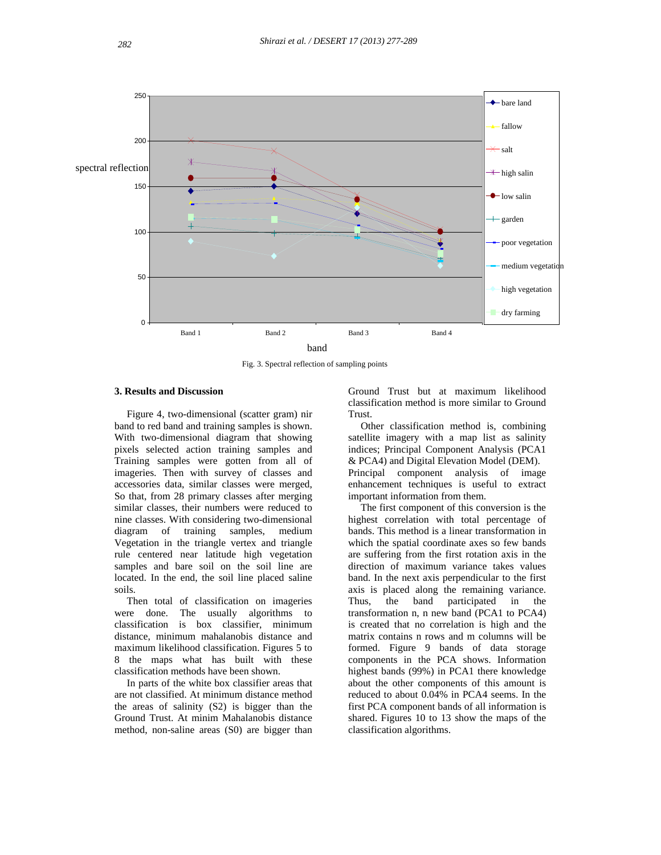

Fig. 3. Spectral reflection of sampling points

## **3. Results and Discussion**

 Figure 4, two-dimensional (scatter gram) nir band to red band and training samples is shown. With two-dimensional diagram that showing pixels selected action training samples and Training samples were gotten from all of imageries. Then with survey of classes and accessories data, similar classes were merged, So that, from 28 primary classes after merging similar classes, their numbers were reduced to nine classes. With considering two-dimensional diagram of training samples, medium Vegetation in the triangle vertex and triangle rule centered near latitude high vegetation samples and bare soil on the soil line are located. In the end, the soil line placed saline soils.

 Then total of classification on imageries were done. The usually algorithms to classification is box classifier, minimum distance, minimum mahalanobis distance and maximum likelihood classification. Figures 5 to 8 the maps what has built with these classification methods have been shown.

 In parts of the white box classifier areas that are not classified. At minimum distance method the areas of salinity (S2) is bigger than the Ground Trust. At minim Mahalanobis distance method, non-saline areas (S0) are bigger than

Ground Trust but at maximum likelihood classification method is more similar to Ground Trust.

 Other classification method is, combining satellite imagery with a map list as salinity indices; Principal Component Analysis (PCA1 & PCA4) and Digital Elevation Model (DEM). Principal component analysis of image enhancement techniques is useful to extract important information from them.

 The first component of this conversion is the highest correlation with total percentage of bands. This method is a linear transformation in which the spatial coordinate axes so few bands are suffering from the first rotation axis in the direction of maximum variance takes values band. In the next axis perpendicular to the first axis is placed along the remaining variance. Thus, the band participated in the transformation n, n new band (PCA1 to PCA4) is created that no correlation is high and the matrix contains n rows and m columns will be formed. Figure 9 bands of data storage components in the PCA shows. Information highest bands (99%) in PCA1 there knowledge about the other components of this amount is reduced to about 0.04% in PCA4 seems. In the first PCA component bands of all information is shared. Figures 10 to 13 show the maps of the classification algorithms.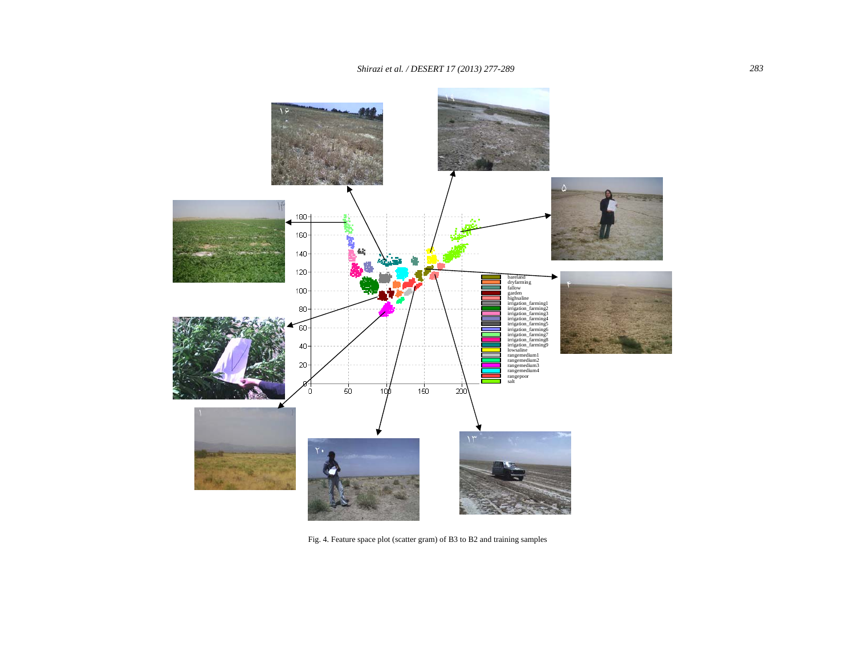

Fig. 4. Feature space plot (scatter gram) of B3 to B2 and training samples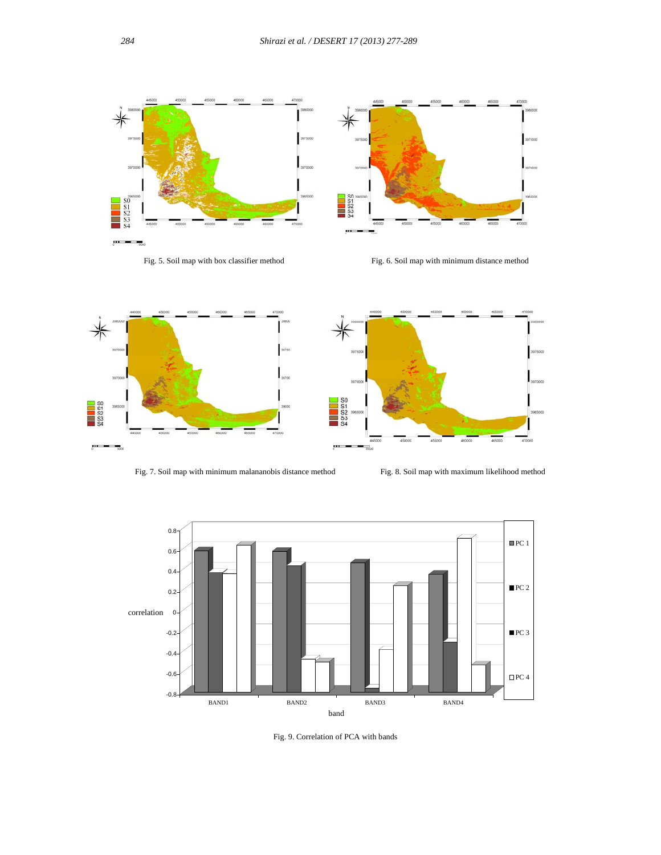$\frac{1}{5}$ 



Fig. 5. Soil map with box classifier method





Fig. 7. Soil map with minimum malananobis distance method



Fig. 8. Soil map with maximum likelihood method



Fig. 9. Correlation of PCA with bands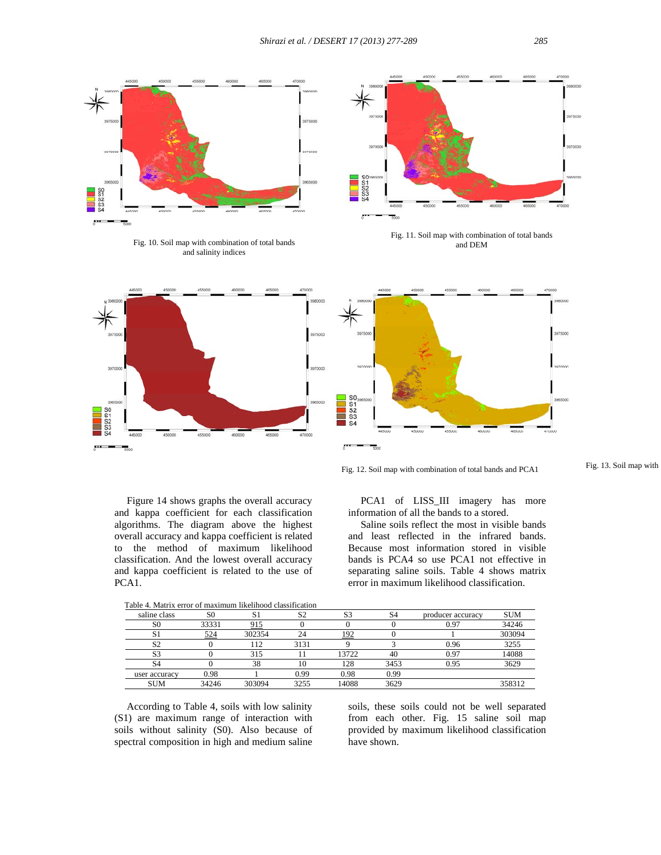

Fig. 10. Soil map with combination of total bands and DEM and DEM and salinity indices





Fig. 11. Soil map with combination of total bands



Fig. 12. Soil map with combination of total bands and PCA1 Fig. 13. Soil map with

information of all the bands to a stored.

PCA1 of LISS III imagery has more

 Saline soils reflect the most in visible bands and least reflected in the infrared bands. Because most information stored in visible bands is PCA4 so use PCA1 not effective in separating saline soils. Table 4 shows matrix error in maximum likelihood classification.

 Figure 14 shows graphs the overall accuracy and kappa coefficient for each classification algorithms. The diagram above the highest overall accuracy and kappa coefficient is related to the method of maximum likelihood classification. And the lowest overall accuracy and kappa coefficient is related to the use of PCA1.

Table 4. Matrix error of maximum likelihood classification

| таль т. іманта енді от шалшаш шепшде спазнісанді |       |        |                |       |      |                   |            |
|--------------------------------------------------|-------|--------|----------------|-------|------|-------------------|------------|
| saline class                                     | S0    |        | S <sub>2</sub> | S3    | S4   | producer accuracy | <b>SUM</b> |
| S <sub>0</sub>                                   | 33331 | 915    |                |       |      | 0.97              | 34246      |
|                                                  | 524   | 302354 | 24             | ۱۹۵   |      |                   | 303094     |
| $\Omega$                                         |       | 112    | 3131           |       |      | 0.96              | 3255       |
| $\sim$                                           |       | 315    |                | 13722 | 40   | 0.97              | 14088      |
|                                                  |       | 38     | 10             | 128   | 3453 | 0.95              | 3629       |
| user accuracy                                    | 0.98  |        | 0.99           | 0.98  | 0.99 |                   |            |
| <b>SUM</b>                                       | 34246 | 303094 | 3255           | 14088 | 3629 |                   | 358312     |

 According to Table 4, soils with low salinity (S1) are maximum range of interaction with soils without salinity (S0). Also because of spectral composition in high and medium saline

soils, these soils could not be well separated from each other. Fig. 15 saline soil map provided by maximum likelihood classification have shown.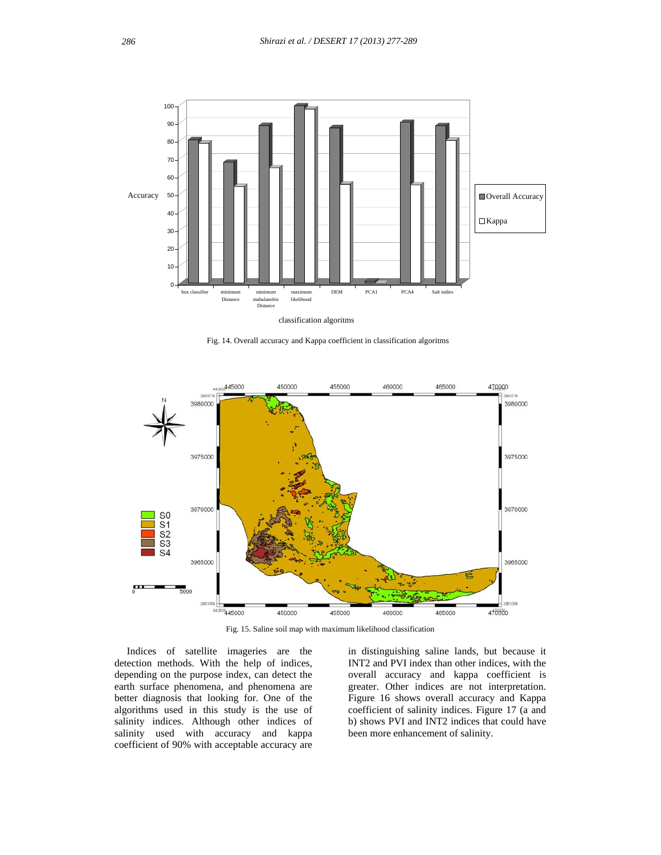

Fig. 14. Overall accuracy and Kappa coefficient in classification algoritms



Fig. 15. Saline soil map with maximum likelihood classification

 Indices of satellite imageries are the detection methods. With the help of indices, depending on the purpose index, can detect the earth surface phenomena, and phenomena are better diagnosis that looking for. One of the algorithms used in this study is the use of salinity indices. Although other indices of salinity used with accuracy and kappa coefficient of 90% with acceptable accuracy are

in distinguishing saline lands, but because it INT2 and PVI index than other indices, with the overall accuracy and kappa coefficient is greater. Other indices are not interpretation. Figure 16 shows overall accuracy and Kappa coefficient of salinity indices. Figure 17 (a and b) shows PVI and INT2 indices that could have been more enhancement of salinity.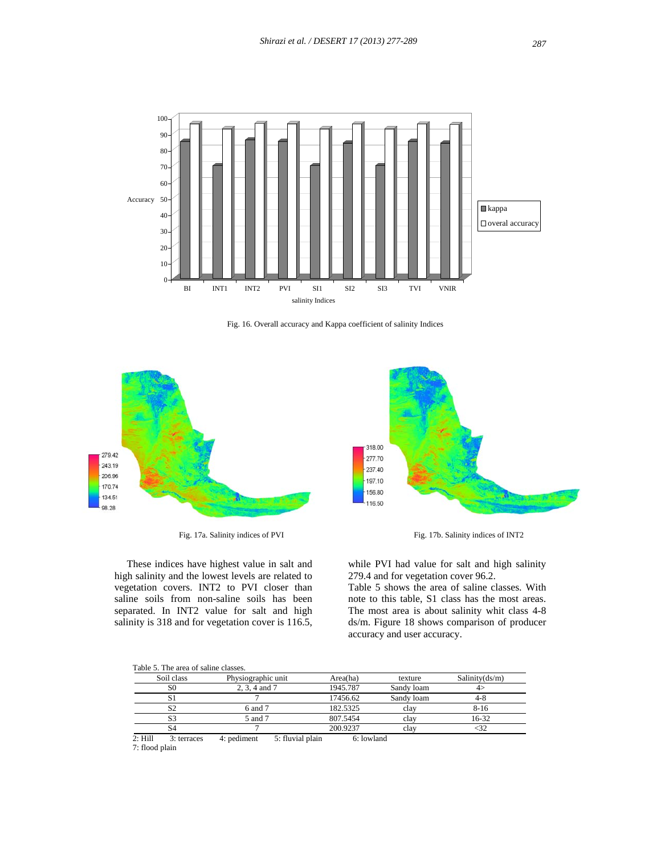

Fig. 16. Overall accuracy and Kappa coefficient of salinity Indices



 These indices have highest value in salt and high salinity and the lowest levels are related to vegetation covers. INT2 to PVI closer than saline soils from non-saline soils has been separated. In INT2 value for salt and high salinity is 318 and for vegetation cover is 116.5,

while PVI had value for salt and high salinity 279.4 and for vegetation cover 96.2.

Table 5 shows the area of saline classes. With note to this table, S1 class has the most areas. The most area is about salinity whit class 4-8 ds/m. Figure 18 shows comparison of producer accuracy and user accuracy.

|  |  | Table 5. The area of saline classes. |
|--|--|--------------------------------------|
|--|--|--------------------------------------|

| Soil class | Physiographic unit | Area(ha) | texture    | Salinity(ds/m) |
|------------|--------------------|----------|------------|----------------|
| SC         | 2, 3, 4 and 7      | 1945.787 | Sandy loam |                |
|            |                    | 17456.62 | Sandy loam | 4-8            |
|            | 6 and 7            | 182.5325 | clay       | 8-16           |
|            | 5 and 7            | 807.5454 | clay       | 16-32          |
|            |                    | 200.9237 | clay       |                |

 2: Hill 3: terraces 4: pediment 5: fluvial plain 6: lowland 7: flood plain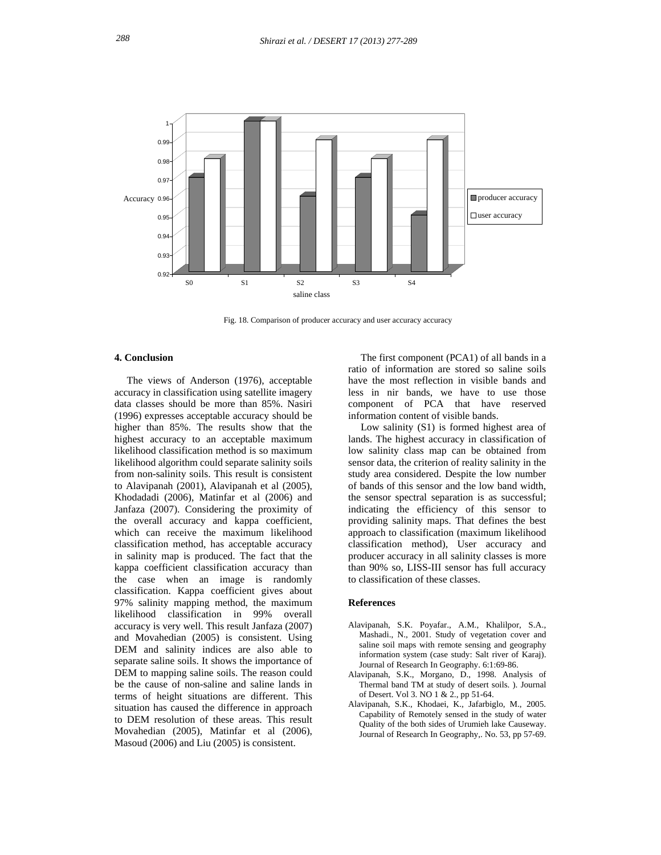

Fig. 18. Comparison of producer accuracy and user accuracy accuracy

### **4. Conclusion**

 The views of Anderson (1976), acceptable accuracy in classification using satellite imagery data classes should be more than 85%. Nasiri (1996) expresses acceptable accuracy should be higher than 85%. The results show that the highest accuracy to an acceptable maximum likelihood classification method is so maximum likelihood algorithm could separate salinity soils from non-salinity soils. This result is consistent to Alavipanah (2001), Alavipanah et al (2005), Khodadadi (2006), Matinfar et al (2006) and Janfaza (2007). Considering the proximity of the overall accuracy and kappa coefficient, which can receive the maximum likelihood classification method, has acceptable accuracy in salinity map is produced. The fact that the kappa coefficient classification accuracy than the case when an image is randomly classification. Kappa coefficient gives about 97% salinity mapping method, the maximum likelihood classification in 99% overall accuracy is very well. This result Janfaza (2007) and Movahedian (2005) is consistent. Using DEM and salinity indices are also able to separate saline soils. It shows the importance of DEM to mapping saline soils. The reason could be the cause of non-saline and saline lands in terms of height situations are different. This situation has caused the difference in approach to DEM resolution of these areas. This result Movahedian (2005), Matinfar et al (2006), Masoud (2006) and Liu (2005) is consistent.

 The first component (PCA1) of all bands in a ratio of information are stored so saline soils have the most reflection in visible bands and less in nir bands, we have to use those component of PCA that have reserved information content of visible bands.

 Low salinity (S1) is formed highest area of lands. The highest accuracy in classification of low salinity class map can be obtained from sensor data, the criterion of reality salinity in the study area considered. Despite the low number of bands of this sensor and the low band width, the sensor spectral separation is as successful; indicating the efficiency of this sensor to providing salinity maps. That defines the best approach to classification (maximum likelihood classification method), User accuracy and producer accuracy in all salinity classes is more than 90% so, LISS-III sensor has full accuracy to classification of these classes.

#### **References**

- Alavipanah, S.K. Poyafar., A.M., Khalilpor, S.A., Mashadi., N., 2001. Study of vegetation cover and saline soil maps with remote sensing and geography information system (case study: Salt river of Karaj). Journal of Research In Geography. 6:1:69-86.
- Alavipanah, S.K., Morgano, D., 1998. Analysis of Thermal band TM at study of desert soils. ). Journal of Desert. Vol 3. NO 1 & 2., pp 51-64.
- Alavipanah, S.K., Khodaei, K., Jafarbiglo, M., 2005. Capability of Remotely sensed in the study of water Quality of the both sides of Urumieh lake Causeway. Journal of Research In Geography,. No. 53, pp 57-69.